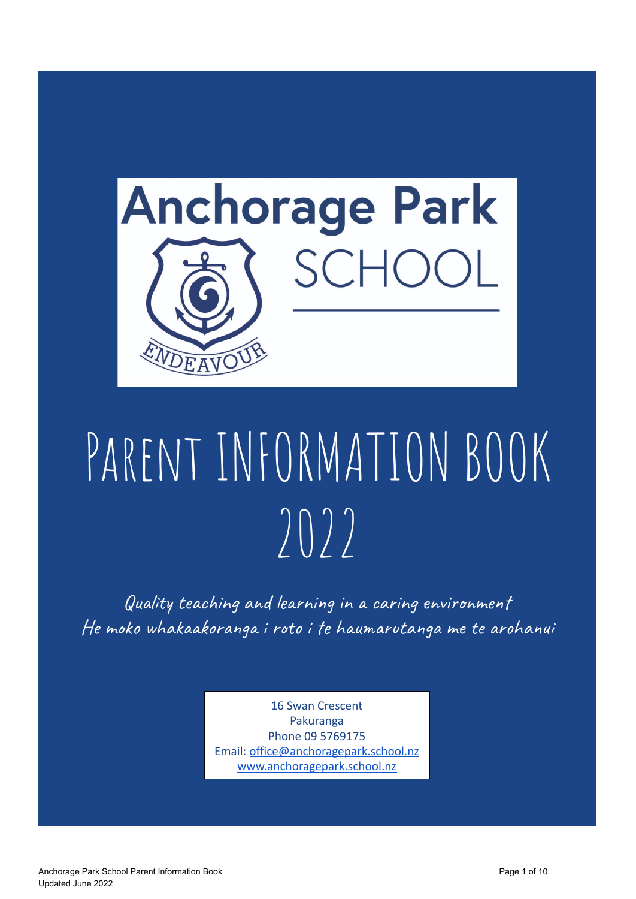

# PARENT INFORMATION BOOK  $2022$

Quality teaching and learning in a caring environment He moko whakaakoranga i roto i te haumarutanga me te arohanui

> 16 Swan Crescent Pakuranga Phone 09 5769175 Email: [office@anchoragepark.school.nz](mailto:office@anchoragepark.school.nz) [www.anchoragepark.school.nz](http://www.anchoragepark.school.nz)

Anchorage Park School Parent Information Book **Page 1 of 10** and 2008 Page 1 of 10 Updated June 2022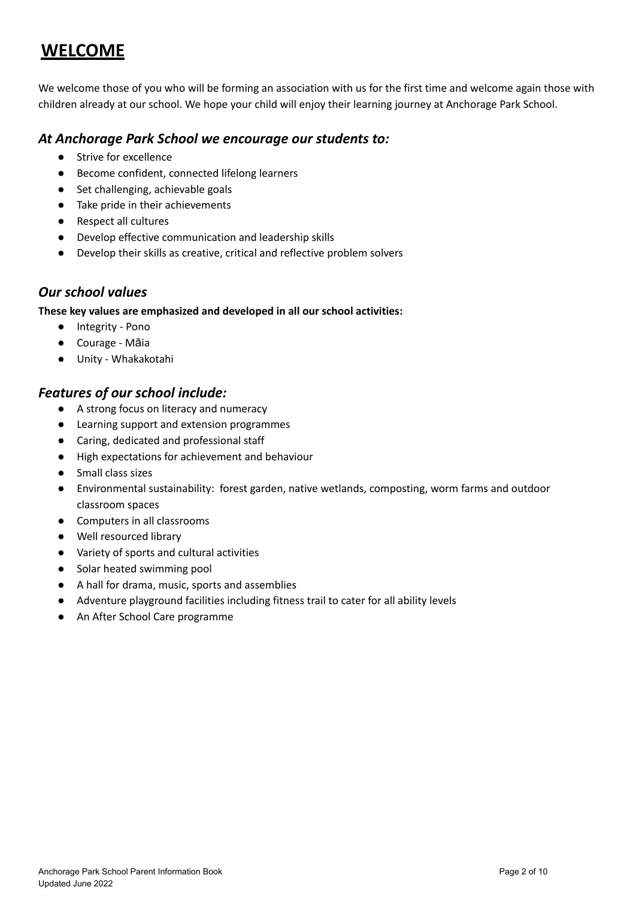### **WELCOME**

We welcome those of you who will be forming an association with us for the first time and welcome again those with children already at our school. We hope your child will enjoy their learning journey at Anchorage Park School.

#### *At Anchorage Park School we encourage our students to:*

- Strive for excellence
- Become confident, connected lifelong learners
- Set challenging, achievable goals
- Take pride in their achievements
- Respect all cultures
- Develop effective communication and leadership skills
- Develop their skills as creative, critical and reflective problem solvers

#### *Our school values*

#### **These key values are emphasized and developed in all our school activities:**

- Integrity Pono
- Courage Māia
- Unity Whakakotahi

#### *Features of our school include:*

- A strong focus on literacy and numeracy
- Learning support and extension programmes
- Caring, dedicated and professional staff
- High expectations for achievement and behaviour
- Small class sizes
- Environmental sustainability: forest garden, native wetlands, composting, worm farms and outdoor classroom spaces
- Computers in all classrooms
- Well resourced library
- Variety of sports and cultural activities
- Solar heated swimming pool
- A hall for drama, music, sports and assemblies
- Adventure playground facilities including fitness trail to cater for all ability levels
- An After School Care programme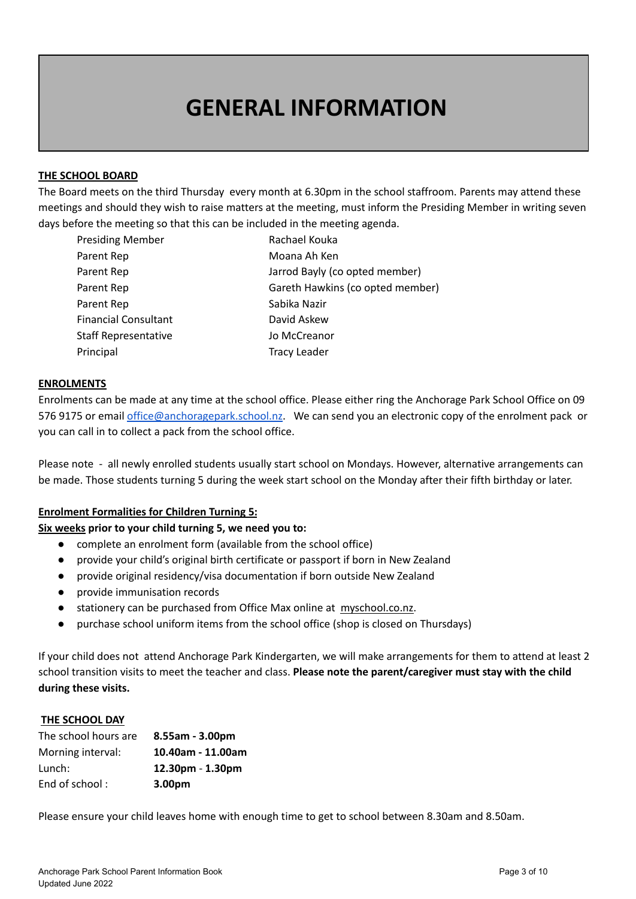## **GENERAL INFORMATION**

#### **THE SCHOOL BOARD**

The Board meets on the third Thursday every month at 6.30pm in the school staffroom. Parents may attend these meetings and should they wish to raise matters at the meeting, must inform the Presiding Member in writing seven days before the meeting so that this can be included in the meeting agenda.

| <b>Presiding Member</b>     | Rachael Kouka                    |
|-----------------------------|----------------------------------|
| Parent Rep                  | Moana Ah Ken                     |
| Parent Rep                  | Jarrod Bayly (co opted member)   |
| Parent Rep                  | Gareth Hawkins (co opted member) |
| Parent Rep                  | Sabika Nazir                     |
| <b>Financial Consultant</b> | David Askew                      |
| <b>Staff Representative</b> | Jo McCreanor                     |
| Principal                   | <b>Tracy Leader</b>              |

#### **ENROLMENTS**

Enrolments can be made at any time at the school office. Please either ring the Anchorage Park School Office on 09 576 9175 or email [office@anchoragepark.school.nz](mailto:office@anchoragepark.school.nz). We can send you an electronic copy of the enrolment pack or you can call in to collect a pack from the school office.

Please note - all newly enrolled students usually start school on Mondays. However, alternative arrangements can be made. Those students turning 5 during the week start school on the Monday after their fifth birthday or later.

#### **Enrolment Formalities for Children Turning 5:**

#### **Six weeks prior to your child turning 5, we need you to:**

- complete an enrolment form (available from the school office)
- provide your child's original birth certificate or passport if born in New Zealand
- provide original residency/visa documentation if born outside New Zealand
- provide immunisation records
- stationery can be purchased from Office Max online at myschool.co.nz.
- purchase school uniform items from the school office (shop is closed on Thursdays)

If your child does not attend Anchorage Park Kindergarten, we will make arrangements for them to attend at least 2 school transition visits to meet the teacher and class. **Please note the parent/caregiver must stay with the child during these visits.**

#### **THE SCHOOL DAY**

| The school hours are | $8.55$ am - $3.00$ pm |
|----------------------|-----------------------|
| Morning interval:    | 10.40am - 11.00am     |
| Lunch:               | $12.30pm - 1.30pm$    |
| End of school:       | 3.00pm                |

Please ensure your child leaves home with enough time to get to school between 8.30am and 8.50am.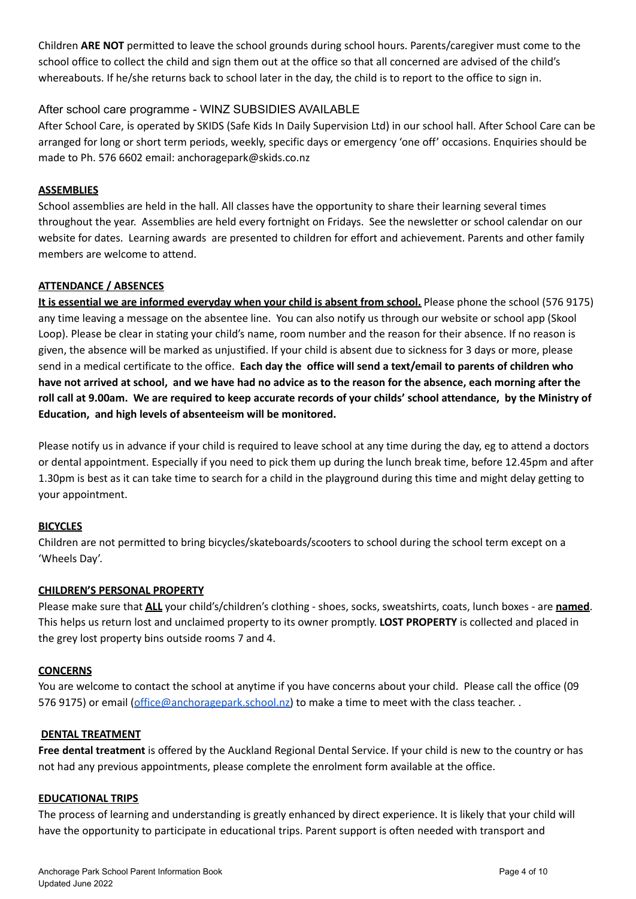Children **ARE NOT** permitted to leave the school grounds during school hours. Parents/caregiver must come to the school office to collect the child and sign them out at the office so that all concerned are advised of the child's whereabouts. If he/she returns back to school later in the day, the child is to report to the office to sign in.

#### After school care programme - WINZ SUBSIDIES AVAILABLE

After School Care, is operated by SKIDS (Safe Kids In Daily Supervision Ltd) in our school hall. After School Care can be arranged for long or short term periods, weekly, specific days or emergency 'one off' occasions. Enquiries should be made to Ph. 576 6602 email: anchoragepark@skids.co.nz

#### **ASSEMBLIES**

School assemblies are held in the hall. All classes have the opportunity to share their learning several times throughout the year. Assemblies are held every fortnight on Fridays. See the newsletter or school calendar on our website for dates. Learning awards are presented to children for effort and achievement. Parents and other family members are welcome to attend.

#### **ATTENDANCE / ABSENCES**

**It is essential we are informed everyday when your child is absent from school.** Please phone the school (576 9175) any time leaving a message on the absentee line. You can also notify us through our website or school app (Skool Loop). Please be clear in stating your child's name, room number and the reason for their absence. If no reason is given, the absence will be marked as unjustified. If your child is absent due to sickness for 3 days or more, please send in a medical certificate to the office. **Each day the office will send a text/email to parents of children who** have not arrived at school, and we have had no advice as to the reason for the absence, each morning after the roll call at 9.00am. We are required to keep accurate records of your childs' school attendance, by the Ministry of **Education, and high levels of absenteeism will be monitored.**

Please notify us in advance if your child is required to leave school at any time during the day, eg to attend a doctors or dental appointment. Especially if you need to pick them up during the lunch break time, before 12.45pm and after 1.30pm is best as it can take time to search for a child in the playground during this time and might delay getting to your appointment.

#### **BICYCLES**

Children are not permitted to bring bicycles/skateboards/scooters to school during the school term except on a 'Wheels Day'.

#### **CHILDREN'S PERSONAL PROPERTY**

Please make sure that **ALL** your child's/children's clothing - shoes, socks, sweatshirts, coats, lunch boxes - are **named**. This helps us return lost and unclaimed property to its owner promptly. **LOST PROPERTY** is collected and placed in the grey lost property bins outside rooms 7 and 4.

#### **CONCERNS**

You are welcome to contact the school at anytime if you have concerns about your child. Please call the office (09 576 9175) or email ([office@anchoragepark.school.nz\)](mailto:office@anchoragepark.school.nz) to make a time to meet with the class teacher. .

#### **DENTAL TREATMENT**

**Free dental treatment** is offered by the Auckland Regional Dental Service. If your child is new to the country or has not had any previous appointments, please complete the enrolment form available at the office.

#### **EDUCATIONAL TRIPS**

The process of learning and understanding is greatly enhanced by direct experience. It is likely that your child will have the opportunity to participate in educational trips. Parent support is often needed with transport and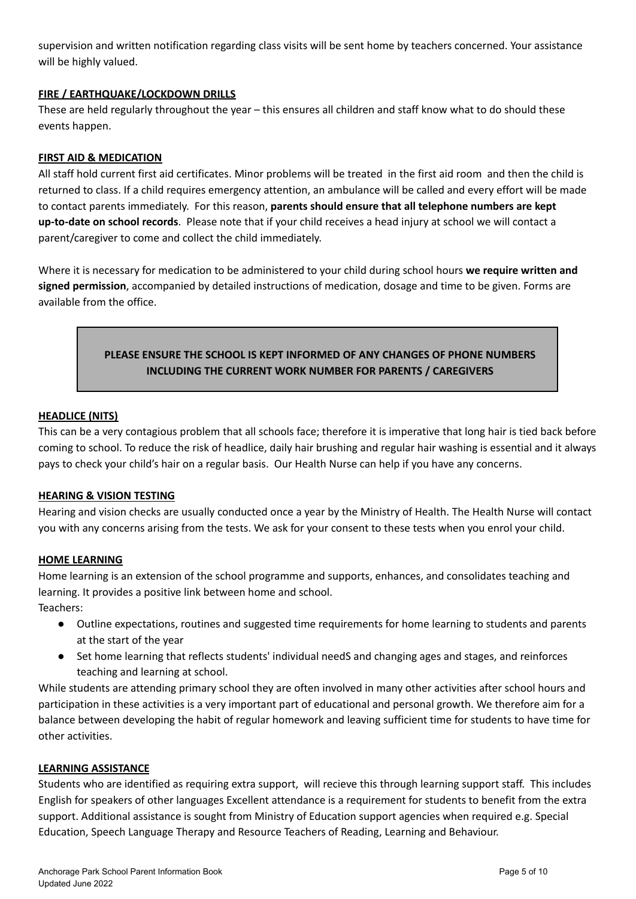supervision and written notification regarding class visits will be sent home by teachers concerned. Your assistance will be highly valued.

#### **FIRE / EARTHQUAKE/LOCKDOWN DRILLS**

These are held regularly throughout the year – this ensures all children and staff know what to do should these events happen.

#### **FIRST AID & MEDICATION**

All staff hold current first aid certificates. Minor problems will be treated in the first aid room and then the child is returned to class. If a child requires emergency attention, an ambulance will be called and every effort will be made to contact parents immediately. For this reason, **parents should ensure that all telephone numbers are kept up-to-date on school records**. Please note that if your child receives a head injury at school we will contact a parent/caregiver to come and collect the child immediately.

Where it is necessary for medication to be administered to your child during school hours **we require written and signed permission**, accompanied by detailed instructions of medication, dosage and time to be given. Forms are available from the office.

#### **PLEASE ENSURE THE SCHOOL IS KEPT INFORMED OF ANY CHANGES OF PHONE NUMBERS INCLUDING THE CURRENT WORK NUMBER FOR PARENTS / CAREGIVERS**

#### **HEADLICE (NITS)**

This can be a very contagious problem that all schools face; therefore it is imperative that long hair is tied back before coming to school. To reduce the risk of headlice, daily hair brushing and regular hair washing is essential and it always pays to check your child's hair on a regular basis. Our Health Nurse can help if you have any concerns.

#### **HEARING & VISION TESTING**

Hearing and vision checks are usually conducted once a year by the Ministry of Health. The Health Nurse will contact you with any concerns arising from the tests. We ask for your consent to these tests when you enrol your child.

#### **HOME LEARNING**

Home learning is an extension of the school programme and supports, enhances, and consolidates teaching and learning. It provides a positive link between home and school.

Teachers:

- Outline expectations, routines and suggested time requirements for home learning to students and parents at the start of the year
- Set home learning that reflects students' individual needS and changing ages and stages, and reinforces teaching and learning at school.

While students are attending primary school they are often involved in many other activities after school hours and participation in these activities is a very important part of educational and personal growth. We therefore aim for a balance between developing the habit of regular homework and leaving sufficient time for students to have time for other activities.

#### **LEARNING ASSISTANCE**

Students who are identified as requiring extra support, will recieve this through learning support staff. This includes English for speakers of other languages Excellent attendance is a requirement for students to benefit from the extra support. Additional assistance is sought from Ministry of Education support agencies when required e.g. Special Education, Speech Language Therapy and Resource Teachers of Reading, Learning and Behaviour.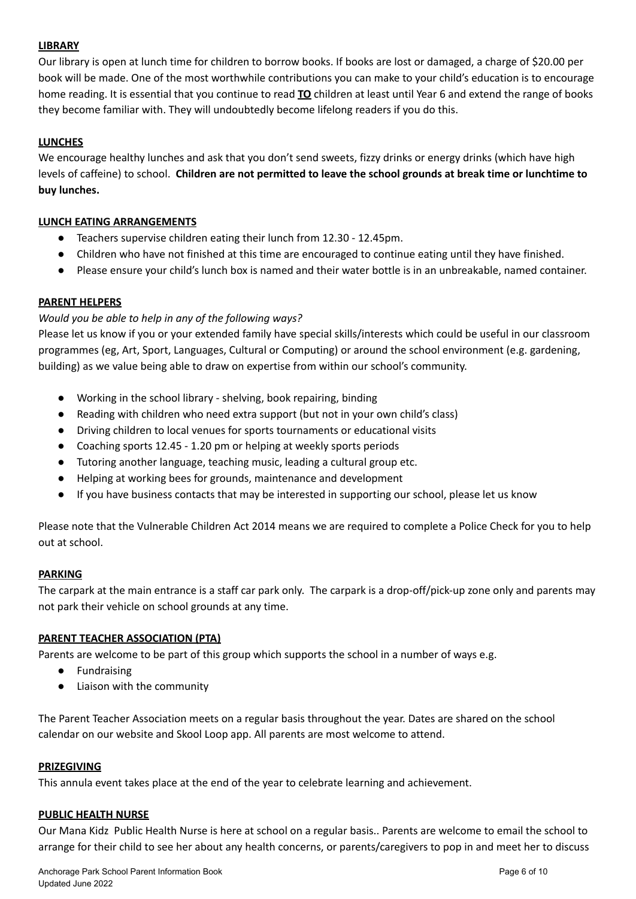#### **LIBRARY**

Our library is open at lunch time for children to borrow books. If books are lost or damaged, a charge of \$20.00 per book will be made. One of the most worthwhile contributions you can make to your child's education is to encourage home reading. It is essential that you continue to read **TO** children at least until Year 6 and extend the range of books they become familiar with. They will undoubtedly become lifelong readers if you do this.

#### **LUNCHES**

We encourage healthy lunches and ask that you don't send sweets, fizzy drinks or energy drinks (which have high levels of caffeine) to school. **Children are not permitted to leave the school grounds at break time or lunchtime to buy lunches.**

#### **LUNCH EATING ARRANGEMENTS**

- Teachers supervise children eating their lunch from 12.30 12.45pm.
- Children who have not finished at this time are encouraged to continue eating until they have finished.
- Please ensure your child's lunch box is named and their water bottle is in an unbreakable, named container.

#### **PARENT HELPERS**

#### *Would you be able to help in any of the following ways?*

Please let us know if you or your extended family have special skills/interests which could be useful in our classroom programmes (eg, Art, Sport, Languages, Cultural or Computing) or around the school environment (e.g. gardening, building) as we value being able to draw on expertise from within our school's community.

- Working in the school library shelving, book repairing, binding
- Reading with children who need extra support (but not in your own child's class)
- Driving children to local venues for sports tournaments or educational visits
- Coaching sports 12.45 1.20 pm or helping at weekly sports periods
- Tutoring another language, teaching music, leading a cultural group etc.
- Helping at working bees for grounds, maintenance and development
- If you have business contacts that may be interested in supporting our school, please let us know

Please note that the Vulnerable Children Act 2014 means we are required to complete a Police Check for you to help out at school.

#### **PARKING**

The carpark at the main entrance is a staff car park only. The carpark is a drop-off/pick-up zone only and parents may not park their vehicle on school grounds at any time.

#### **PARENT TEACHER ASSOCIATION (PTA)**

Parents are welcome to be part of this group which supports the school in a number of ways e.g.

- Fundraising
- Liaison with the community

The Parent Teacher Association meets on a regular basis throughout the year. Dates are shared on the school calendar on our website and Skool Loop app. All parents are most welcome to attend.

#### **PRIZEGIVING**

This annula event takes place at the end of the year to celebrate learning and achievement.

#### **PUBLIC HEALTH NURSE**

Our Mana Kidz Public Health Nurse is here at school on a regular basis.. Parents are welcome to email the school to arrange for their child to see her about any health concerns, or parents/caregivers to pop in and meet her to discuss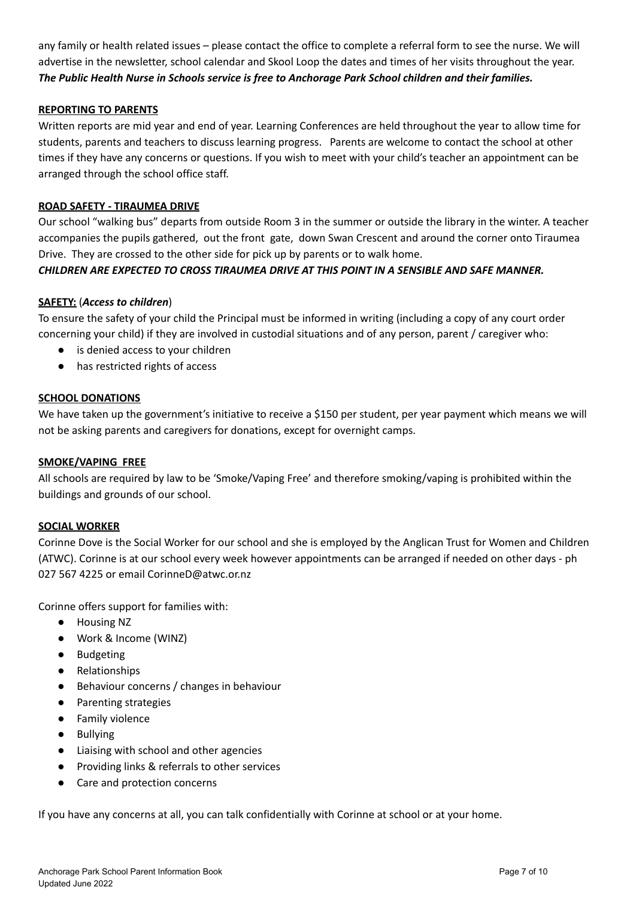any family or health related issues – please contact the office to complete a referral form to see the nurse. We will advertise in the newsletter, school calendar and Skool Loop the dates and times of her visits throughout the year. *The Public Health Nurse in Schools service is free to Anchorage Park School children and their families.*

#### **REPORTING TO PARENTS**

Written reports are mid year and end of year. Learning Conferences are held throughout the year to allow time for students, parents and teachers to discuss learning progress. Parents are welcome to contact the school at other times if they have any concerns or questions. If you wish to meet with your child's teacher an appointment can be arranged through the school office staff.

#### **ROAD SAFETY - TIRAUMEA DRIVE**

Our school "walking bus" departs from outside Room 3 in the summer or outside the library in the winter. A teacher accompanies the pupils gathered, out the front gate, down Swan Crescent and around the corner onto Tiraumea Drive. They are crossed to the other side for pick up by parents or to walk home.

#### *CHILDREN ARE EXPECTED TO CROSS TIRAUMEA DRIVE AT THIS POINT IN A SENSIBLE AND SAFE MANNER.*

#### **SAFETY:** (*Access to children*)

To ensure the safety of your child the Principal must be informed in writing (including a copy of any court order concerning your child) if they are involved in custodial situations and of any person, parent / caregiver who:

- is denied access to your children
- has restricted rights of access

#### **SCHOOL DONATIONS**

We have taken up the government's initiative to receive a \$150 per student, per year payment which means we will not be asking parents and caregivers for donations, except for overnight camps.

#### **SMOKE/VAPING FREE**

All schools are required by law to be 'Smoke/Vaping Free' and therefore smoking/vaping is prohibited within the buildings and grounds of our school.

#### **SOCIAL WORKER**

Corinne Dove is the Social Worker for our school and she is employed by the Anglican Trust for Women and Children (ATWC). Corinne is at our school every week however appointments can be arranged if needed on other days - ph 027 567 4225 or email CorinneD@atwc.or.nz

Corinne offers support for families with:

- Housing NZ
- Work & Income (WINZ)
- Budgeting
- Relationships
- Behaviour concerns / changes in behaviour
- Parenting strategies
- Family violence
- Bullying
- Liaising with school and other agencies
- Providing links & referrals to other services
- Care and protection concerns

If you have any concerns at all, you can talk confidentially with Corinne at school or at your home.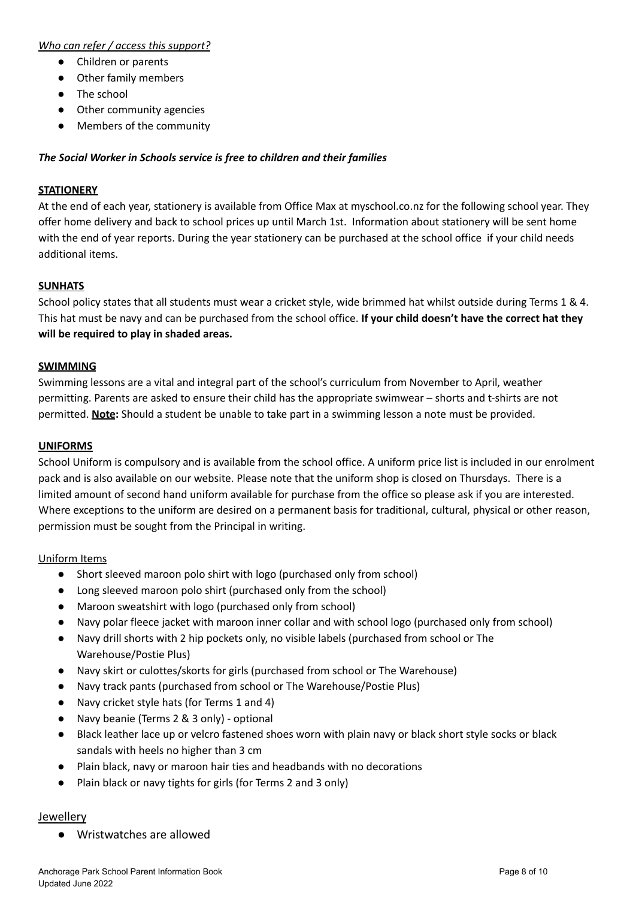#### *Who can refer / access this support?*

- Children or parents
- Other family members
- The school
- Other community agencies
- Members of the community

#### *The Social Worker in Schools service is free to children and their families*

#### **STATIONERY**

At the end of each year, stationery is available from Office Max at myschool.co.nz for the following school year. They offer home delivery and back to school prices up until March 1st. Information about stationery will be sent home with the end of year reports. During the year stationery can be purchased at the school office if your child needs additional items.

#### **SUNHATS**

School policy states that all students must wear a cricket style, wide brimmed hat whilst outside during Terms 1 & 4. This hat must be navy and can be purchased from the school office. **If your child doesn't have the correct hat they will be required to play in shaded areas.**

#### **SWIMMING**

Swimming lessons are a vital and integral part of the school's curriculum from November to April, weather permitting. Parents are asked to ensure their child has the appropriate swimwear – shorts and t-shirts are not permitted. **Note:** Should a student be unable to take part in a swimming lesson a note must be provided.

#### **UNIFORMS**

School Uniform is compulsory and is available from the school office. A uniform price list is included in our enrolment pack and is also available on our website. Please note that the uniform shop is closed on Thursdays. There is a limited amount of second hand uniform available for purchase from the office so please ask if you are interested. Where exceptions to the uniform are desired on a permanent basis for traditional, cultural, physical or other reason, permission must be sought from the Principal in writing.

#### Uniform Items

- Short sleeved maroon polo shirt with logo (purchased only from school)
- Long sleeved maroon polo shirt (purchased only from the school)
- Maroon sweatshirt with logo (purchased only from school)
- Navy polar fleece jacket with maroon inner collar and with school logo (purchased only from school)
- Navy drill shorts with 2 hip pockets only, no visible labels (purchased from school or The Warehouse/Postie Plus)
- Navy skirt or culottes/skorts for girls (purchased from school or The Warehouse)
- Navy track pants (purchased from school or The Warehouse/Postie Plus)
- Navy cricket style hats (for Terms 1 and 4)
- Navy beanie (Terms 2 & 3 only) optional
- Black leather lace up or velcro fastened shoes worn with plain navy or black short style socks or black sandals with heels no higher than 3 cm
- Plain black, navy or maroon hair ties and headbands with no decorations
- Plain black or navy tights for girls (for Terms 2 and 3 only)

#### Jewellery

● Wristwatches are allowed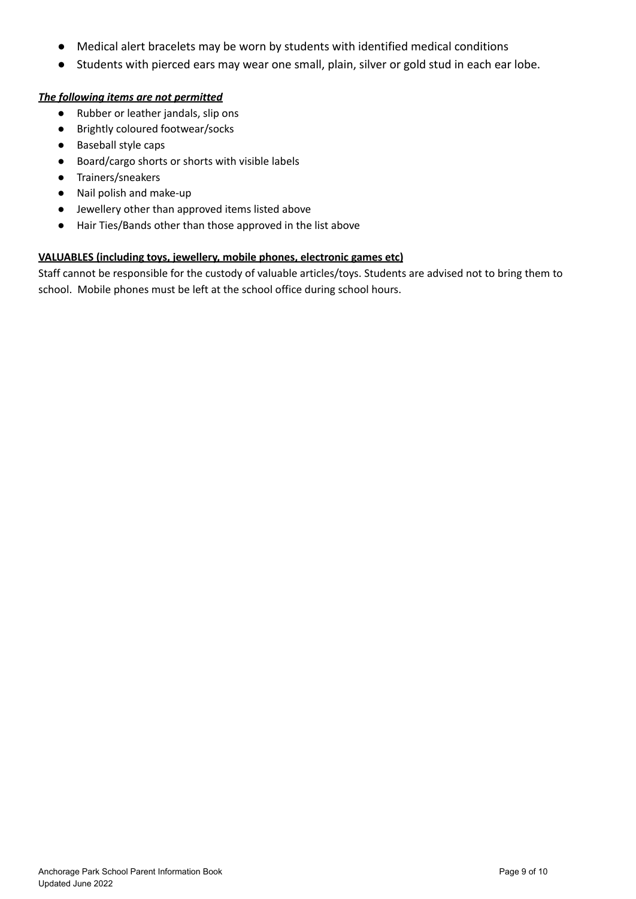- Medical alert bracelets may be worn by students with identified medical conditions
- Students with pierced ears may wear one small, plain, silver or gold stud in each ear lobe.

#### *The following items are not permitted*

- Rubber or leather jandals, slip ons
- Brightly coloured footwear/socks
- Baseball style caps
- Board/cargo shorts or shorts with visible labels
- Trainers/sneakers
- Nail polish and make-up
- Jewellery other than approved items listed above
- Hair Ties/Bands other than those approved in the list above

#### **VALUABLES (including toys, jewellery, mobile phones, electronic games etc)**

Staff cannot be responsible for the custody of valuable articles/toys. Students are advised not to bring them to school. Mobile phones must be left at the school office during school hours.